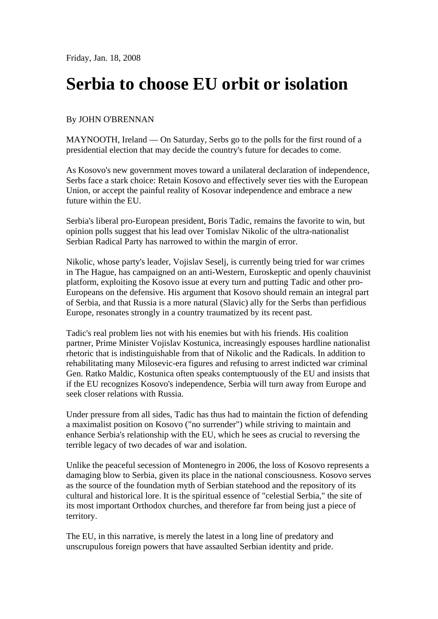## **Serbia to choose EU orbit or isolation**

## By JOHN O'BRENNAN

MAYNOOTH, Ireland — On Saturday, Serbs go to the polls for the first round of a presidential election that may decide the country's future for decades to come.

As Kosovo's new government moves toward a unilateral declaration of independence, Serbs face a stark choice: Retain Kosovo and effectively sever ties with the European Union, or accept the painful reality of Kosovar independence and embrace a new future within the EU.

Serbia's liberal pro-European president, Boris Tadic, remains the favorite to win, but opinion polls suggest that his lead over Tomislav Nikolic of the ultra-nationalist Serbian Radical Party has narrowed to within the margin of error.

Nikolic, whose party's leader, Vojislav Seselj, is currently being tried for war crimes in The Hague, has campaigned on an anti-Western, Euroskeptic and openly chauvinist platform, exploiting the Kosovo issue at every turn and putting Tadic and other pro-Europeans on the defensive. His argument that Kosovo should remain an integral part of Serbia, and that Russia is a more natural (Slavic) ally for the Serbs than perfidious Europe, resonates strongly in a country traumatized by its recent past.

Tadic's real problem lies not with his enemies but with his friends. His coalition partner, Prime Minister Vojislav Kostunica, increasingly espouses hardline nationalist rhetoric that is indistinguishable from that of Nikolic and the Radicals. In addition to rehabilitating many Milosevic-era figures and refusing to arrest indicted war criminal Gen. Ratko Maldic, Kostunica often speaks contemptuously of the EU and insists that if the EU recognizes Kosovo's independence, Serbia will turn away from Europe and seek closer relations with Russia.

Under pressure from all sides, Tadic has thus had to maintain the fiction of defending a maximalist position on Kosovo ("no surrender") while striving to maintain and enhance Serbia's relationship with the EU, which he sees as crucial to reversing the terrible legacy of two decades of war and isolation.

Unlike the peaceful secession of Montenegro in 2006, the loss of Kosovo represents a damaging blow to Serbia, given its place in the national consciousness. Kosovo serves as the source of the foundation myth of Serbian statehood and the repository of its cultural and historical lore. It is the spiritual essence of "celestial Serbia," the site of its most important Orthodox churches, and therefore far from being just a piece of territory.

The EU, in this narrative, is merely the latest in a long line of predatory and unscrupulous foreign powers that have assaulted Serbian identity and pride.